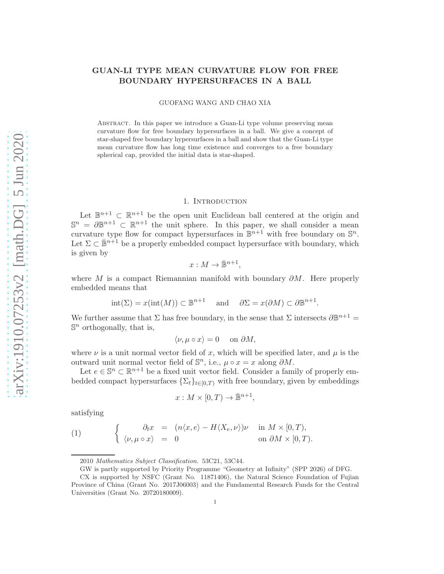# GUAN-LI TYPE MEAN CURVATURE FLOW FOR FREE BOUNDARY HYPERSURFACES IN A BALL

GUOFANG WANG AND CHAO XIA

Abstract. In this paper we introduce a Guan-Li type volume preserving mean curvature flow for free boundary hypersurfaces in a ball. We give a concept of star-shaped free boundary hypersurfaces in a ball and show that the Guan-Li type mean curvature flow has long time existence and converges to a free boundary spherical cap, provided the initial data is star-shaped.

#### 1. Introduction

Let  $\mathbb{B}^{n+1} \subset \mathbb{R}^{n+1}$  be the open unit Euclidean ball centered at the origin and  $\mathbb{S}^n = \partial \mathbb{B}^{n+1} \subset \mathbb{R}^{n+1}$  the unit sphere. In this paper, we shall consider a mean curvature type flow for compact hypersurfaces in  $\mathbb{B}^{n+1}$  with free boundary on  $\mathbb{S}^n$ . Let  $\Sigma \subset \bar{\mathbb{B}}^{n+1}$  be a properly embedded compact hypersurface with boundary, which is given by

$$
x:M\to\bar{\mathbb{B}}^{n+1},
$$

where M is a compact Riemannian manifold with boundary  $\partial M$ . Here properly embedded means that

$$
int(\Sigma) = x(int(M)) \subset \mathbb{B}^{n+1}
$$
 and  $\partial \Sigma = x(\partial M) \subset \partial \mathbb{B}^{n+1}$ .

We further assume that  $\Sigma$  has free boundary, in the sense that  $\Sigma$  intersects  $\partial \mathbb{B}^{n+1} =$  $\mathbb{S}^n$  orthogonally, that is,

$$
\langle \nu, \mu \circ x \rangle = 0 \quad \text{ on } \partial M,
$$

where  $\nu$  is a unit normal vector field of x, which will be specified later, and  $\mu$  is the outward unit normal vector field of  $\mathbb{S}^n$ , i.e.,  $\mu \circ x = x$  along  $\partial M$ .

Let  $e \in \mathbb{S}^n \subset \mathbb{R}^{n+1}$  be a fixed unit vector field. Consider a family of properly embedded compact hypersurfaces  $\{\Sigma_t\}_{t\in[0,T)}$  with free boundary, given by embeddings

$$
x: M \times [0, T) \to \bar{\mathbb{B}}^{n+1},
$$

satisfying

<span id="page-0-0"></span>(1) 
$$
\begin{cases}\n\partial_t x = (n \langle x, e \rangle - H \langle X_e, \nu \rangle) \nu & \text{in } M \times [0, T), \\
\langle \nu, \mu \circ x \rangle = 0 & \text{on } \partial M \times [0, T).\n\end{cases}
$$

<sup>2010</sup> Mathematics Subject Classification. 53C21, 53C44.

GW is partly supported by Priority Programme "Geometry at Infinity" (SPP 2026) of DFG.

CX is supported by NSFC (Grant No. 11871406), the Natural Science Foundation of Fujian Province of China (Grant No. 2017J06003) and the Fundamental Research Funds for the Central Universities (Grant No. 20720180009).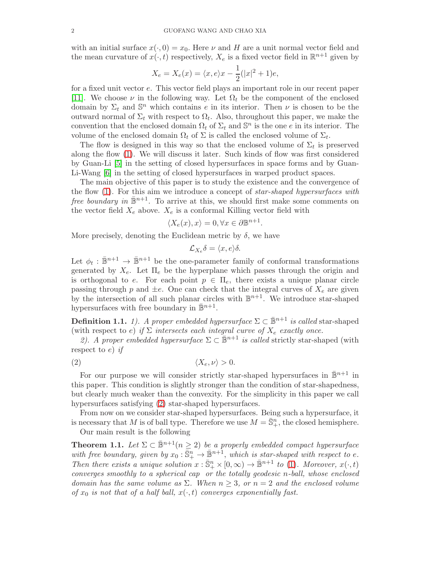with an initial surface  $x(\cdot, 0) = x_0$ . Here  $\nu$  and H are a unit normal vector field and the mean curvature of  $x(\cdot, t)$  respectively,  $X_e$  is a fixed vector field in  $\mathbb{R}^{n+1}$  given by

$$
X_e = X_e(x) = \langle x, e \rangle x - \frac{1}{2}(|x|^2 + 1)e,
$$

for a fixed unit vector e. This vector field plays an important role in our recent paper [\[11\]](#page-12-0). We choose  $\nu$  in the following way. Let  $\Omega_t$  be the component of the enclosed domain by  $\Sigma_t$  and  $\mathbb{S}^n$  which contains e in its interior. Then  $\nu$  is chosen to be the outward normal of  $\Sigma_t$  with respect to  $\Omega_t$ . Also, throughout this paper, we make the convention that the enclosed domain  $\Omega_t$  of  $\Sigma_t$  and  $\mathbb{S}^n$  is the one e in its interior. The volume of the enclosed domain  $\Omega_t$  of  $\Sigma$  is called the enclosed volume of  $\Sigma_t$ .

The flow is designed in this way so that the enclosed volume of  $\Sigma_t$  is preserved along the flow [\(1\)](#page-0-0). We will discuss it later. Such kinds of flow was first considered by Guan-Li [\[5\]](#page-12-1) in the setting of closed hypersurfaces in space forms and by Guan-Li-Wang [\[6\]](#page-12-2) in the setting of closed hypersurfaces in warped product spaces.

The main objective of this paper is to study the existence and the convergence of the flow [\(1\)](#page-0-0). For this aim we introduce a concept of star-shaped hypersurfaces with *free boundary in*  $\mathbb{B}^{n+1}$ . To arrive at this, we should first make some comments on the vector field  $X_e$  above.  $X_e$  is a conformal Killing vector field with

$$
\langle X_e(x), x \rangle = 0, \forall x \in \partial \mathbb{B}^{n+1}.
$$

More precisely, denoting the Euclidean metric by  $\delta$ , we have

<span id="page-1-0"></span>
$$
\mathcal{L}_{X_e} \delta = \langle x, e \rangle \delta.
$$

Let  $\phi_t : \mathbb{B}^{n+1} \to \mathbb{B}^{n+1}$  be the one-parameter family of conformal transformations generated by  $X_e$ . Let  $\Pi_e$  be the hyperplane which passes through the origin and is orthogonal to e. For each point  $p \in \Pi_e$ , there exists a unique planar circle passing through p and  $\pm e$ . One can check that the integral curves of  $X_e$  are given by the intersection of all such planar circles with  $\mathbb{B}^{n+1}$ . We introduce star-shaped hypersurfaces with free boundary in  $\mathbb{B}^{n+1}$ .

**Definition 1.1.** 1). A proper embedded hypersurface  $\Sigma \subset \mathbb{B}^{n+1}$  is called star-shaped (with respect to e) if  $\Sigma$  intersects each integral curve of  $X_e$  exactly once.

2). A proper embedded hypersurface  $\Sigma \subset \mathbb{B}^{n+1}$  is called strictly star-shaped (with respect to  $e$ ) if

$$
(2) \t\t \langle X_e, \nu \rangle > 0.
$$

For our purpose we will consider strictly star-shaped hypersurfaces in  $\mathbb{B}^{n+1}$  in this paper. This condition is slightly stronger than the condition of star-shapedness, but clearly much weaker than the convexity. For the simplicity in this paper we call hypersurfaces satisfying [\(2\)](#page-1-0) star-shaped hypersurfaces.

From now on we consider star-shaped hypersurfaces. Being such a hypersurface, it is necessary that M is of ball type. Therefore we use  $M = \overline{\mathbb{S}}_+^n$ , the closed hemisphere.

Our main result is the following

<span id="page-1-1"></span>**Theorem 1.1.** Let  $\Sigma \subset \mathbb{B}^{n+1}(n \geq 2)$  be a properly embedded compact hypersurface with free boundary, given by  $x_0 : \overline{\mathbb{S}}_+^n \to \overline{\mathbb{B}}^{n+1}$ , which is star-shaped with respect to e. Then there exists a unique solution  $x : \overline{\mathbb{S}}_+^n \times [0, \infty) \to \overline{\mathbb{B}}^{n+1}$  to [\(1\)](#page-0-0). Moreover,  $x(\cdot, t)$ converges smoothly to a spherical cap or the totally geodesic n-ball, whose enclosed domain has the same volume as  $\Sigma$ . When  $n \geq 3$ , or  $n = 2$  and the enclosed volume of  $x_0$  is not that of a half ball,  $x(\cdot, t)$  converges exponentially fast.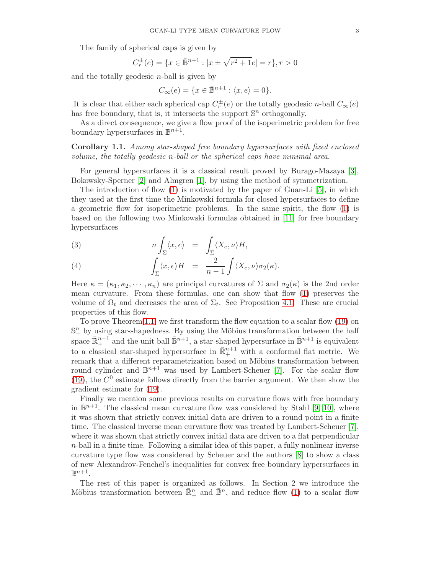The family of spherical caps is given by

$$
C_r^{\pm}(e) = \{ x \in \bar{\mathbb{B}}^{n+1} : |x \pm \sqrt{r^2 + 1}e| = r \}, r > 0
$$

and the totally geodesic  $n$ -ball is given by

$$
C_{\infty}(e) = \{x \in \bar{\mathbb{B}}^{n+1} : \langle x, e \rangle = 0\}.
$$

It is clear that either each spherical cap  $C_r^{\pm}(e)$  or the totally geodesic *n*-ball  $C_{\infty}(e)$ has free boundary, that is, it intersects the support  $\mathbb{S}^n$  orthogonally.

As a direct consequence, we give a flow proof of the isoperimetric problem for free boundary hypersurfaces in  $\mathbb{B}^{n+1}$ .

<span id="page-2-0"></span>Corollary 1.1. Among star-shaped free boundary hypersurfaces with fixed enclosed volume, the totally geodesic n-ball or the spherical caps have minimal area.

For general hypersurfaces it is a classical result proved by Burago-Mazaya [\[3\]](#page-12-3), Bokowsky-Sperner [\[2\]](#page-12-4) and Almgren [\[1\]](#page-12-5), by using the method of symmetrization.

The introduction of flow [\(1\)](#page-0-0) is motivated by the paper of Guan-Li [\[5\]](#page-12-1), in which they used at the first time the Minkowski formula for closed hypersurfaces to define a geometric flow for isoperimetric problems. In the same spirit, the flow [\(1\)](#page-0-0) is based on the following two Minkowski formulas obtained in [\[11\]](#page-12-0) for free boundary hypersurfaces

<span id="page-2-1"></span>(3) 
$$
n \int_{\Sigma} \langle x, e \rangle = \int_{\Sigma} \langle X_e, \nu \rangle H,
$$

(4) 
$$
\int_{\Sigma} \langle x, e \rangle H = \frac{2}{n-1} \int \langle X_e, \nu \rangle \sigma_2(\kappa).
$$

Here  $\kappa = (\kappa_1, \kappa_2, \cdots, \kappa_n)$  are principal curvatures of  $\Sigma$  and  $\sigma_2(\kappa)$  is the 2nd order mean curvature. From these formulas, one can show that flow [\(1\)](#page-0-0) preserves the volume of  $\Omega_t$  and decreases the area of  $\Sigma_t$ . See Proposition [4.1.](#page-8-0) These are crucial properties of this flow.

To prove Theorem [1.1,](#page-1-1) we first transform the flow equation to a scalar flow [\(19\)](#page-6-0) on  $\mathbb{S}^n_+$  by using star-shapedness. By using the Möbius transformation between the half space  $\mathbb{R}^{n+1}_+$  and the unit ball  $\mathbb{B}^{n+1}$ , a star-shaped hypersurface in  $\mathbb{B}^{n+1}$  is equivalent to a classical star-shaped hypersurface in  $\mathbb{R}^{n+1}_+$  with a conformal flat metric. We remark that a different reparametrization based on Möbius transformation between round cylinder and  $\mathbb{B}^{n+1}$  was used by Lambert-Scheuer [\[7\]](#page-12-6). For the scalar flow [\(19\)](#page-6-0), the  $C^0$  estimate follows directly from the barrier argument. We then show the gradient estimate for [\(19\)](#page-6-0).

Finally we mention some previous results on curvature flows with free boundary in  $\mathbb{B}^{n+1}$ . The classical mean curvature flow was considered by Stahl [\[9,](#page-12-7) [10\]](#page-12-8), where it was shown that strictly convex initial data are driven to a round point in a finite time. The classical inverse mean curvature flow was treated by Lambert-Scheuer [\[7\]](#page-12-6), where it was shown that strictly convex initial data are driven to a flat perpendicular  $n$ -ball in a finite time. Following a similar idea of this paper, a fully nonlinear inverse curvature type flow was considered by Scheuer and the authors [\[8\]](#page-12-9) to show a class of new Alexandrov-Fenchel's inequalities for convex free boundary hypersurfaces in  $\mathbb{B}^{n+1}$ .

The rest of this paper is organized as follows. In Section 2 we introduce the Möbius transformation between  $\mathbb{R}^n_+$  and  $\mathbb{B}^n$ , and reduce flow [\(1\)](#page-0-0) to a scalar flow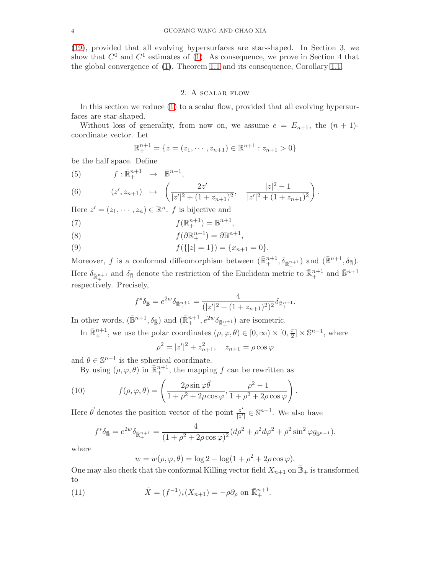[\(19\)](#page-6-0), provided that all evolving hypersurfaces are star-shaped. In Section 3, we show that  $C^0$  and  $C^1$  estimates of [\(1\)](#page-0-0). As consequence, we prove in Section 4 that the global convergence of [\(1\)](#page-0-0), Theorem [1.1](#page-1-1) and its consequence, Corollary [1.1.](#page-2-0)

### 2. A scalar flow

In this section we reduce [\(1\)](#page-0-0) to a scalar flow, provided that all evolving hypersurfaces are star-shaped.

Without loss of generality, from now on, we assume  $e = E_{n+1}$ , the  $(n + 1)$ coordinate vector. Let

$$
\mathbb{R}^{n+1}_{+} = \{ z = (z_1, \cdots, z_{n+1}) \in \mathbb{R}^{n+1} : z_{n+1} > 0 \}
$$

be the half space. Define

(5) 
$$
f: \mathbb{R}^{n+1}_+ \to \mathbb{B}^{n+1},
$$

(6) 
$$
(z', z_{n+1}) \mapsto \left(\frac{2z'}{|z'|^2 + (1 + z_{n+1})^2}, \frac{|z|^2 - 1}{|z'|^2 + (1 + z_{n+1})^2}\right).
$$

Here  $z' = (z_1, \dots, z_n) \in \mathbb{R}^n$ . *f* is bijective and

(7) 
$$
f(\mathbb{R}^{n+1}_+) = \mathbb{B}^{n+1},
$$

(8) 
$$
f(\partial \mathbb{R}^{n+1}_+) = \partial \mathbb{B}^{n+1},
$$

(9)  $f({|z|=1}) = {x_{n+1}=0}.$ 

Moreover, f is a conformal diffeomorphism between  $(\bar{\mathbb{R}}^{n+1}_+, \delta_{\bar{\mathbb{R}}^{n+1}_+})$  and  $(\bar{\mathbb{B}}^{n+1}, \delta_{\bar{\mathbb{B}}})$ . Here  $\delta_{\bar{\mathbb{R}}^{n+1}_+}$  and  $\delta_{\bar{\mathbb{B}}}$  denote the restriction of the Euclidean metric to  $\bar{\mathbb{R}}^{n+1}_+$  and  $\bar{\mathbb{B}}^{n+1}$ respectively. Precisely,

$$
f^*\delta_{\bar{\mathbb{B}}}=e^{2w}\delta_{\bar{\mathbb{R}}_+^{n+1}}=\frac{4}{(|z'|^2+(1+z_{n+1})^2)^2}\delta_{\bar{\mathbb{R}}_+^{n+1}}.
$$

In other words,  $(\bar{\mathbb{B}}^{n+1}, \delta_{\bar{\mathbb{B}}})$  and  $(\bar{\mathbb{R}}^{n+1}_+, e^{2w}\delta_{\bar{\mathbb{R}}^{n+1}_+})$  are isometric.

In  $\mathbb{R}^{n+1}_+$ , we use the polar coordinates  $(\rho, \varphi, \theta) \in [0, \infty) \times [0, \frac{\pi}{2}]$  $\left[\frac{\pi}{2}\right] \times \mathbb{S}^{n-1}$ , where

$$
\rho^2 = |z'|^2 + z_{n+1}^2, \quad z_{n+1} = \rho \cos \varphi
$$

and  $\theta \in \mathbb{S}^{n-1}$  is the spherical coordinate.

By using  $(\rho, \varphi, \theta)$  in  $\mathbb{R}^{n+1}_+$ , the mapping f can be rewritten as

(10) 
$$
f(\rho, \varphi, \theta) = \left(\frac{2\rho \sin \varphi \vec{\theta}}{1 + \rho^2 + 2\rho \cos \varphi}, \frac{\rho^2 - 1}{1 + \rho^2 + 2\rho \cos \varphi}\right).
$$

Here  $\vec{\theta}$  denotes the position vector of the point  $\frac{z^{\prime}}{z^{\prime}}$  $\frac{z'}{|z'|} \in \mathbb{S}^{n-1}$ . We also have

<span id="page-3-1"></span>
$$
f^*\delta_{\mathbb{B}} = e^{2w}\delta_{\mathbb{R}^{n+1}_+} = \frac{4}{(1+\rho^2+2\rho\cos\varphi)^2}(d\rho^2+\rho^2 d\varphi^2+\rho^2\sin^2\varphi g_{\mathbb{S}^{n-1}}),
$$

where

<span id="page-3-0"></span>
$$
w = w(\rho, \varphi, \theta) = \log 2 - \log(1 + \rho^2 + 2\rho \cos \varphi).
$$

One may also check that the conformal Killing vector field  $X_{n+1}$  on  $\overline{\mathbb{B}}_+$  is transformed to

(11) 
$$
\tilde{X} = (f^{-1})_*(X_{n+1}) = -\rho \partial_\rho \text{ on } \bar{\mathbb{R}}_+^{n+1}.
$$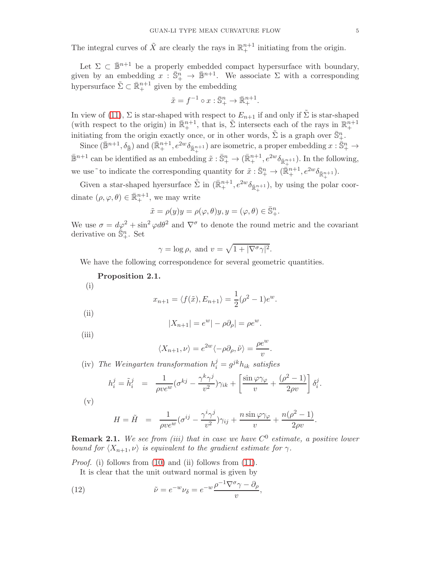The integral curves of  $\tilde{X}$  are clearly the rays in  $\mathbb{R}^{n+1}_+$  initiating from the origin.

Let  $\Sigma \subset \mathbb{B}^{n+1}$  be a properly embedded compact hypersurface with boundary, given by an embedding  $x : \overline{\mathbb{S}}_+^n \to \overline{\mathbb{B}}^{n+1}$ . We associate  $\Sigma$  with a corresponding hypersurface  $\tilde{\Sigma} \subset \bar{\mathbb{R}}_+^{n+1}$  given by the embedding

$$
\tilde{x} = f^{-1} \circ x : \bar{\mathbb{S}}_+^n \to \bar{\mathbb{R}}_+^{n+1}.
$$

In view of [\(11\)](#page-3-0),  $\Sigma$  is star-shaped with respect to  $E_{n+1}$  if and only if  $\tilde{\Sigma}$  is star-shaped (with respect to the origin) in  $\mathbb{R}^{n+1}_+$ , that is,  $\tilde{\Sigma}$  intersects each of the rays in  $\mathbb{R}^{n+1}_+$ initiating from the origin exactly once, or in other words,  $\tilde{\Sigma}$  is a graph over  $\bar{\mathbb{S}}_+^n$ .

Since  $(\bar{\mathbb{B}}^{n+1}, \delta_{\bar{\mathbb{B}}})$  and  $(\bar{\mathbb{R}}^{n+1}_+, e^{2w}\delta_{\bar{\mathbb{R}}^{n+1}})$  are isometric, a proper embedding  $x : \bar{\mathbb{S}}^n_+ \to$  $\mathbb{B}^{n+1}$  can be identified as an embedding  $\tilde{x}: \mathbb{S}^n_+ \to (\mathbb{R}^{n+1}_+, e^{2w}\delta_{\mathbb{R}^{n+1}_+})$ . In the following, we use  $\tilde{\sigma}$  to indicate the corresponding quantity for  $\tilde{x} : \bar{\mathbb{S}}^n_+ \to (\bar{\mathbb{R}}^{n+1}_+, e^{2w}\delta_{\bar{\mathbb{R}}^{n+1}_+}).$ 

Given a star-shaped hyersurface  $\tilde{\Sigma}$  in  $(\bar{\mathbb{R}}^{n+1}_+, e^{2w}\delta_{\bar{\mathbb{R}}^{n+1}_+}),$  by using the polar coordinate  $(\rho, \varphi, \theta) \in \mathbb{R}^{n+1}_+$ , we may write

$$
\tilde{x} = \rho(y)y = \rho(\varphi, \theta)y, y = (\varphi, \theta) \in \bar{\mathbb{S}}_+^n.
$$

We use  $\sigma = d\varphi^2 + \sin^2 \varphi d\theta^2$  and  $\nabla^{\sigma}$  to denote the round metric and the covariant derivative on  $\overline{\mathbb{S}}_+^n$ . Set

$$
\gamma = \log \rho
$$
, and  $v = \sqrt{1 + |\nabla^{\sigma} \gamma|^2}$ .

We have the following correspondence for several geometric quantities.

- <span id="page-4-1"></span>Proposition 2.1.
- (i)

$$
x_{n+1} = \langle f(\tilde{x}), E_{n+1} \rangle = \frac{1}{2} (\rho^2 - 1) e^w.
$$

(ii)

$$
|X_{n+1}| = e^w | - \rho \partial_\rho| = \rho e^w.
$$

(iii)

$$
\langle X_{n+1}, \nu \rangle = e^{2w} \langle -\rho \partial_{\rho}, \tilde{\nu} \rangle = \frac{\rho e^{w}}{v}.
$$

(iv) The Weingarten transformation  $h_i^j = g^{jk} h_{ik}$  satisfies

$$
h_i^j = \tilde{h}_i^j = \frac{1}{\rho v e^w} (\sigma^{kj} - \frac{\gamma^k \gamma^j}{v^2}) \gamma_{ik} + \left[ \frac{\sin \varphi \gamma_\varphi}{v} + \frac{(\rho^2 - 1)}{2\rho v} \right] \delta_i^j.
$$

$$
(\rm v)
$$

$$
H = \tilde{H} = \frac{1}{\rho v e^w} (\sigma^{ij} - \frac{\gamma^i \gamma^j}{v^2}) \gamma_{ij} + \frac{n \sin \varphi \gamma_\varphi}{v} + \frac{n(\rho^2 - 1)}{2\rho v}.
$$

**Remark 2.1.** We see from (iii) that in case we have  $C^0$  estimate, a positive lower bound for  $\langle X_{n+1}, \nu \rangle$  is equivalent to the gradient estimate for  $\gamma$ .

Proof. (i) follows from [\(10\)](#page-3-1) and (ii) follows from [\(11\)](#page-3-0).

<span id="page-4-0"></span>It is clear that the unit outward normal is given by

(12) 
$$
\tilde{\nu} = e^{-w} \nu_{\delta} = e^{-w} \frac{\rho^{-1} \nabla^{\sigma} \gamma - \partial_{\rho}}{v},
$$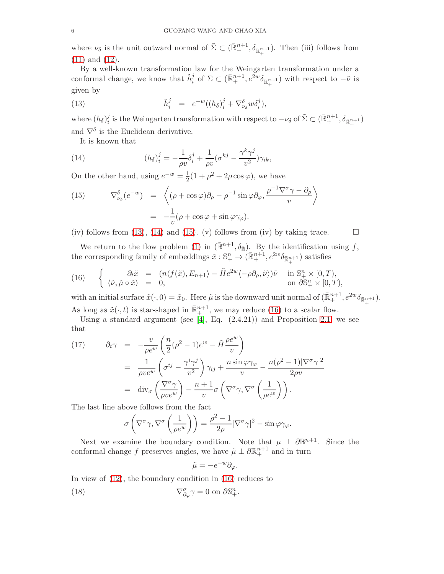where  $\nu_{\delta}$  is the unit outward normal of  $\tilde{\Sigma} \subset (\bar{\mathbb{R}}^{n+1}_+, \delta_{\bar{\mathbb{R}}^{n+1}_+})$ . Then (iii) follows from [\(11\)](#page-3-0) and [\(12\)](#page-4-0).

By a well-known transformation law for the Weingarten transformation under a conformal change, we know that  $\tilde{h}_i^j$  of  $\Sigma \subset (\bar{\mathbb{R}}_+^{n+1}, e^{\tilde{2}w}\delta_{\bar{\mathbb{R}}_+^{n+1}})$  with respect to  $-\tilde{\nu}$  is given by

<span id="page-5-0"></span>(13) 
$$
\tilde{h}_i^j = e^{-w}((h_\delta)_i^j + \nabla_{\nu_\delta}^\delta w \delta_i^j),
$$

where  $(h_\delta)^j_i$  $\tilde{p}^j_i$  is the Weingarten transformation with respect to  $-\nu_{\delta}$  of  $\tilde{\Sigma}\subset (\bar{\mathbb{R}}^{n+1}_+, \delta_{\bar{\mathbb{R}}^{n+1}_+})$ and  $\nabla^{\delta}$  is the Euclidean derivative.

<span id="page-5-1"></span>It is known that

(14) 
$$
(h_{\delta})_i^j = -\frac{1}{\rho v} \delta_i^j + \frac{1}{\rho v} (\sigma^{kj} - \frac{\gamma^k \gamma^j}{v^2}) \gamma_{ik},
$$

On the other hand, using  $e^{-w} = \frac{1}{2}(1 + \rho^2 + 2\rho\cos\varphi)$ , we have

<span id="page-5-2"></span>(15) 
$$
\nabla_{\nu_{\delta}}^{\delta}(e^{-w}) = \left\langle (\rho + \cos \varphi)\partial_{\rho} - \rho^{-1} \sin \varphi \partial_{\varphi}, \frac{\rho^{-1} \nabla^{\sigma} \gamma - \partial_{\rho}}{v} \right\rangle
$$

$$
= -\frac{1}{v} (\rho + \cos \varphi + \sin \varphi \gamma_{\varphi}).
$$

(iv) follows from [\(13\)](#page-5-0), [\(14\)](#page-5-1) and [\(15\)](#page-5-2). (v) follows from (iv) by taking trace.  $\square$ 

We return to the flow problem [\(1\)](#page-0-0) in  $(\bar{\mathbb{B}}^{n+1}, \delta_{\bar{\mathbb{B}}})$ . By the identification using f, the corresponding family of embeddings  $\tilde{x}: \mathbb{S}^n_+ \to (\bar{\mathbb{R}}^{n+1}_+, e^{2w}\delta_{\bar{\mathbb{R}}^{n+1}_+})$  satisfies

<span id="page-5-3"></span>(16) 
$$
\begin{cases} \partial_t \tilde{x} = (n \langle f(\tilde{x}), E_{n+1} \rangle - \tilde{H} e^{2w} \langle -\rho \partial_\rho, \tilde{\nu} \rangle) \tilde{\nu} & \text{in } \mathbb{S}^n_+ \times [0, T), \\ \langle \tilde{\nu}, \tilde{\mu} \circ \tilde{x} \rangle = 0, & \text{on } \partial \mathbb{S}^n_+ \times [0, T), \end{cases}
$$

with an initial surface  $\tilde{x}(\cdot,0) = \tilde{x}_0$ . Here  $\tilde{\mu}$  is the downward unit normal of  $(\bar{\mathbb{R}}_+^{n+1}, e^{2w}\delta_{\bar{\mathbb{R}}_+^{n+1}})$ .

As long as  $\tilde{x}(\cdot, t)$  is star-shaped in  $\mathbb{R}^{n+1}_+$ , we may reduce [\(16\)](#page-5-3) to a scalar flow.

Using a standard argument (see [\[4\]](#page-12-10), Eq.  $(2.4.21)$ ) and Proposition [2.1,](#page-4-1) we see that

(17) 
$$
\partial_t \gamma = -\frac{v}{\rho e^w} \left( \frac{n}{2} (\rho^2 - 1) e^w - \tilde{H} \frac{\rho e^w}{v} \right)
$$

$$
= \frac{1}{\rho v e^w} \left( \sigma^{ij} - \frac{\gamma^i \gamma^j}{v^2} \right) \gamma_{ij} + \frac{n \sin \varphi \gamma_{\varphi}}{v} - \frac{n(\rho^2 - 1)|\nabla^{\sigma} \gamma|^2}{2\rho v}
$$

$$
= \text{div}_{\sigma} \left( \frac{\nabla^{\sigma} \gamma}{\rho v e^w} \right) - \frac{n+1}{v} \sigma \left( \nabla^{\sigma} \gamma, \nabla^{\sigma} \left( \frac{1}{\rho e^w} \right) \right).
$$

The last line above follows from the fact

$$
\sigma\left(\nabla^{\sigma}\gamma,\nabla^{\sigma}\left(\frac{1}{\rho e^{w}}\right)\right) = \frac{\rho^{2}-1}{2\rho}|\nabla^{\sigma}\gamma|^{2} - \sin\varphi\gamma_{\varphi}.
$$

Next we examine the boundary condition. Note that  $\mu \perp \partial \mathbb{B}^{n+1}$ . Since the conformal change f preserves angles, we have  $\tilde{\mu} \perp \partial \mathbb{R}^{n+1}_+$  and in turn

$$
\tilde{\mu} = -e^{-w}\partial_{\varphi}.
$$

In view of [\(12\)](#page-4-0), the boundary condition in [\(16\)](#page-5-3) reduces to

(18) 
$$
\nabla_{\partial_{\varphi}}^{\sigma} \gamma = 0 \text{ on } \partial \mathbb{S}^{n}_{+}.
$$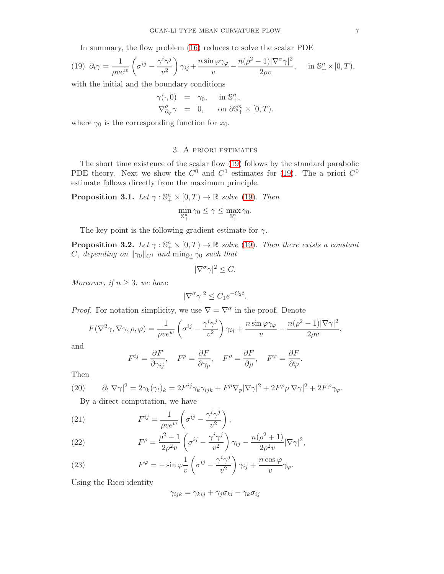In summary, the flow problem [\(16\)](#page-5-3) reduces to solve the scalar PDE

<span id="page-6-0"></span>(19) 
$$
\partial_t \gamma = \frac{1}{\rho v e^w} \left( \sigma^{ij} - \frac{\gamma^i \gamma^j}{v^2} \right) \gamma_{ij} + \frac{n \sin \varphi \gamma_\varphi}{v} - \frac{n(\rho^2 - 1)|\nabla^\sigma \gamma|^2}{2\rho v}, \quad \text{in } \mathbb{S}^n_+ \times [0, T),
$$

with the initial and the boundary conditions

$$
\gamma(\cdot,0) = \gamma_0, \quad \text{in } \mathbb{S}^n_+, \n\nabla_{\partial_\varphi}^{\sigma} \gamma = 0, \quad \text{on } \partial \mathbb{S}^n_+ \times [0,T).
$$

where  $\gamma_0$  is the corresponding function for  $x_0$ .

### 3. A priori estimates

The short time existence of the scalar flow [\(19\)](#page-6-0) follows by the standard parabolic PDE theory. Next we show the  $C^0$  and  $C^1$  estimates for [\(19\)](#page-6-0). The a priori  $C^0$ estimate follows directly from the maximum principle.

<span id="page-6-3"></span>**Proposition 3.1.** Let  $\gamma : \mathbb{S}^n_+ \times [0,T) \to \mathbb{R}$  solve [\(19\)](#page-6-0). Then

$$
\min_{\mathbb{S}^n_+} \gamma_0 \leq \gamma \leq \max_{\mathbb{S}^n_+} \gamma_0.
$$

The key point is the following gradient estimate for  $\gamma$ .

<span id="page-6-4"></span>**Proposition 3.2.** Let  $\gamma : \mathbb{S}^n_+ \times [0,T) \to \mathbb{R}$  solve [\(19\)](#page-6-0). Then there exists a constant  $C$ , depending on  $\|\gamma_0\|_{C^1}$  and  $\min_{\mathbb{S}^n_+} \gamma_0$  such that

$$
|\nabla^{\sigma}\gamma|^2 \leq C.
$$

Moreover, if  $n \geq 3$ , we have

$$
|\nabla^{\sigma}\gamma|^2 \leq C_1 e^{-C_2 t}.
$$

*Proof.* For notation simplicity, we use  $\nabla = \nabla^{\sigma}$  in the proof. Denote

$$
F(\nabla^2 \gamma, \nabla \gamma, \rho, \varphi) = \frac{1}{\rho v e^w} \left( \sigma^{ij} - \frac{\gamma^i \gamma^j}{v^2} \right) \gamma_{ij} + \frac{n \sin \varphi \gamma_{\varphi}}{v} - \frac{n(\rho^2 - 1) |\nabla \gamma|^2}{2\rho v},
$$

and

$$
F^{ij} = \frac{\partial F}{\partial \gamma_{ij}}, \quad F^p = \frac{\partial F}{\partial \gamma_p}, \quad F^\rho = \frac{\partial F}{\partial \rho}, \quad F^\varphi = \frac{\partial F}{\partial \varphi}.
$$

Then

<span id="page-6-2"></span>(20) 
$$
\partial_t |\nabla \gamma|^2 = 2\gamma_k(\gamma_t)_k = 2F^{ij}\gamma_k \gamma_{ijk} + F^p \nabla_p |\nabla \gamma|^2 + 2F^{\rho} \rho |\nabla \gamma|^2 + 2F^{\varphi} \gamma_{\varphi}.
$$

<span id="page-6-1"></span>By a direct computation, we have

(21) 
$$
F^{ij} = \frac{1}{\rho v e^w} \left( \sigma^{ij} - \frac{\gamma^i \gamma^j}{v^2} \right),
$$

(22) 
$$
F^{\rho} = \frac{\rho^2 - 1}{2\rho^2 v} \left( \sigma^{ij} - \frac{\gamma^i \gamma^j}{v^2} \right) \gamma_{ij} - \frac{n(\rho^2 + 1)}{2\rho^2 v} |\nabla \gamma|^2,
$$

(23) 
$$
F^{\varphi} = -\sin \varphi \frac{1}{v} \left( \sigma^{ij} - \frac{\gamma^{i} \gamma^{j}}{v^{2}} \right) \gamma_{ij} + \frac{n \cos \varphi}{v} \gamma_{\varphi}.
$$

Using the Ricci identity

$$
\gamma_{ijk} = \gamma_{kij} + \gamma_j \sigma_{ki} - \gamma_k \sigma_{ij}
$$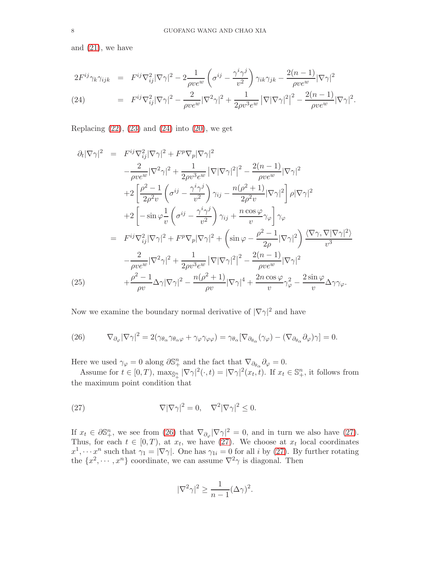and [\(21\)](#page-6-1), we have

<span id="page-7-0"></span>
$$
2F^{ij}\gamma_k\gamma_{ijk} = F^{ij}\nabla_{ij}^2|\nabla\gamma|^2 - 2\frac{1}{\rho v e^w} \left(\sigma^{ij} - \frac{\gamma^i\gamma^j}{v^2}\right)\gamma_{ik}\gamma_{jk} - \frac{2(n-1)}{\rho v e^w}|\nabla\gamma|^2
$$
  
(24) 
$$
= F^{ij}\nabla_{ij}^2|\nabla\gamma|^2 - \frac{2}{\rho v e^w}|\nabla^2\gamma|^2 + \frac{1}{2\rho v^3 e^w}|\nabla|\nabla\gamma|^2|^2 - \frac{2(n-1)}{\rho v e^w}|\nabla\gamma|^2.
$$

Replacing  $(22)$ ,  $(23)$  and  $(24)$  into  $(20)$ , we get

<span id="page-7-3"></span>
$$
\partial_t |\nabla \gamma|^2 = F^{ij} \nabla_{ij}^2 |\nabla \gamma|^2 + F^p \nabla_p |\nabla \gamma|^2
$$
  
\n
$$
-\frac{2}{\rho v e^w} |\nabla^2 \gamma|^2 + \frac{1}{2\rho v^3 e^w} |\nabla |\nabla \gamma|^2|^2 - \frac{2(n-1)}{\rho v e^w} |\nabla \gamma|^2
$$
  
\n
$$
+ 2 \left[ \frac{\rho^2 - 1}{2\rho^2 v} \left( \sigma^{ij} - \frac{\gamma^i \gamma^j}{v^2} \right) \gamma_{ij} - \frac{n(\rho^2 + 1)}{2\rho^2 v} |\nabla \gamma|^2 \right] \rho |\nabla \gamma|^2
$$
  
\n
$$
+ 2 \left[ -\sin \varphi \frac{1}{v} \left( \sigma^{ij} - \frac{\gamma^i \gamma^j}{v^2} \right) \gamma_{ij} + \frac{n \cos \varphi}{v} \gamma_{\varphi} \right] \gamma_{\varphi}
$$
  
\n
$$
= F^{ij} \nabla_{ij}^2 |\nabla \gamma|^2 + F^p \nabla_p |\nabla \gamma|^2 + \left( \sin \varphi - \frac{\rho^2 - 1}{2\rho} |\nabla \gamma|^2 \right) \frac{\langle \nabla \gamma, \nabla |\nabla \gamma|^2 \rangle}{v^3}
$$
  
\n
$$
-\frac{2}{\rho v e^w} |\nabla^2 \gamma|^2 + \frac{1}{2\rho v^3 e^w} |\nabla |\nabla \gamma|^2|^2 - \frac{2(n-1)}{\rho v e^w} |\nabla \gamma|^2
$$
  
\n(25) 
$$
+ \frac{\rho^2 - 1}{\rho v} \Delta \gamma |\nabla \gamma|^2 - \frac{n(\rho^2 + 1)}{\rho v} |\nabla \gamma|^4 + \frac{2n \cos \varphi}{v} \gamma_{\varphi}^2 - \frac{2 \sin \varphi}{v} \Delta \gamma \gamma_{\varphi}.
$$

Now we examine the boundary normal derivative of  $|\nabla \gamma|^2$  and have

<span id="page-7-1"></span>(26) 
$$
\nabla_{\partial_{\varphi}} |\nabla \gamma|^2 = 2(\gamma_{\theta_{\alpha}} \gamma_{\theta_{\alpha} \varphi} + \gamma_{\varphi} \gamma_{\varphi \varphi}) = \gamma_{\theta_{\alpha}} [\nabla_{\partial_{\theta_{\alpha}}} (\gamma_{\varphi}) - (\nabla_{\partial_{\theta_{\alpha}}} \partial_{\varphi}) \gamma] = 0.
$$

Here we used  $\gamma_{\varphi} = 0$  along  $\partial \mathbb{S}^n_+$  and the fact that  $\nabla_{\partial \theta_{\alpha}} \partial_{\varphi} = 0$ .

Assume for  $t \in [0, T)$ ,  $\max_{\bar{S}_+^n} |\nabla \gamma|^2(\cdot, t) = |\nabla \gamma|^2(x_t, t)$ . If  $x_t \in \mathbb{S}_+^n$ , it follows from the maximum point condition that

(27) 
$$
\nabla |\nabla \gamma|^2 = 0, \quad \nabla^2 |\nabla \gamma|^2 \leq 0.
$$

If  $x_t \in \partial \mathbb{S}^n_+$ , we see from [\(26\)](#page-7-1) that  $\nabla_{\partial_\varphi} |\nabla \gamma|^2 = 0$ , and in turn we also have [\(27\)](#page-7-2). Thus, for each  $t \in [0, T)$ , at  $x_t$ , we have [\(27\)](#page-7-2). We choose at  $x_t$  local coordinates  $x^1, \dots, x^n$  such that  $\gamma_1 = |\nabla \gamma|$ . One has  $\gamma_{1i} = 0$  for all i by [\(27\)](#page-7-2). By further rotating the  $\{x^2, \dots, x^n\}$  coordinate, we can assume  $\nabla^2 \gamma$  is diagonal. Then

<span id="page-7-2"></span>
$$
|\nabla^2 \gamma|^2 \ge \frac{1}{n-1} (\Delta \gamma)^2.
$$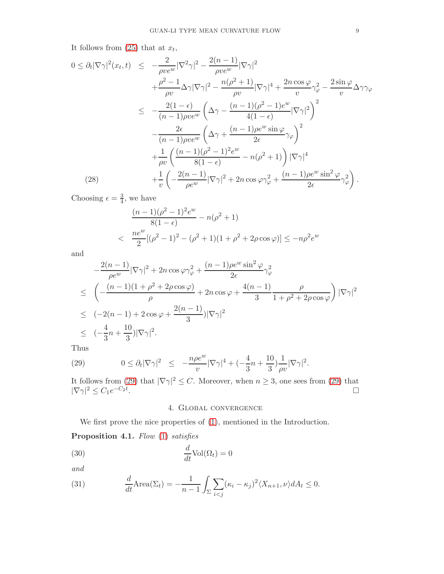It follows from  $(25)$  that at  $x_t$ ,

<span id="page-8-2"></span>
$$
0 \leq \partial_t |\nabla \gamma|^2 (x_t, t) \leq -\frac{2}{\rho v e^w} |\nabla^2 \gamma|^2 - \frac{2(n-1)}{\rho v e^w} |\nabla \gamma|^2 + \frac{\rho^2 - 1}{\rho v} \Delta \gamma |\nabla \gamma|^2 - \frac{n(\rho^2 + 1)}{\rho v} |\nabla \gamma|^4 + \frac{2n \cos \varphi}{v} \gamma_\varphi^2 - \frac{2 \sin \varphi}{v} \Delta \gamma \gamma_\varphi \n\leq -\frac{2(1 - \epsilon)}{(n - 1)\rho v e^w} \left( \Delta \gamma - \frac{(n - 1)(\rho^2 - 1)e^w}{4(1 - \epsilon)} |\nabla \gamma|^2 \right)^2 - \frac{2\epsilon}{(n - 1)\rho v e^w} \left( \Delta \gamma + \frac{(n - 1)\rho e^w \sin \varphi}{2\epsilon} \gamma_\varphi \right)^2 + \frac{1}{\rho v} \left( \frac{(n - 1)(\rho^2 - 1)^2 e^w}{8(1 - \epsilon)} - n(\rho^2 + 1) \right) |\nabla \gamma|^4 + \frac{1}{v} \left( -\frac{2(n - 1)}{\rho e^w} |\nabla \gamma|^2 + 2n \cos \varphi \gamma_\varphi^2 + \frac{(n - 1)\rho e^w \sin^2 \varphi}{2\epsilon} \gamma_\varphi^2 \right).
$$
\n(28)

Choosing  $\epsilon = \frac{3}{4}$  $\frac{3}{4}$ , we have

$$
\frac{(n-1)(\rho^2 - 1)^2 e^w}{8(1 - \epsilon)} - n(\rho^2 + 1)
$$
  

$$
< \frac{ne^w}{2} [(\rho^2 - 1)^2 - (\rho^2 + 1)(1 + \rho^2 + 2\rho \cos \varphi)] \le -n\rho^2 e^w
$$

and

$$
-\frac{2(n-1)}{\rho e^w} |\nabla \gamma|^2 + 2n \cos \varphi \gamma_{\varphi}^2 + \frac{(n-1)\rho e^w \sin^2 \varphi}{2\epsilon} \gamma_{\varphi}^2
$$
  
\n
$$
\leq \left( -\frac{(n-1)(1+\rho^2 + 2\rho \cos \varphi)}{\rho} + 2n \cos \varphi + \frac{4(n-1)}{3} \frac{\rho}{1+\rho^2 + 2\rho \cos \varphi} \right) |\nabla \gamma|^2
$$
  
\n
$$
\leq (-2(n-1) + 2 \cos \varphi + \frac{2(n-1)}{3}) |\nabla \gamma|^2
$$
  
\n
$$
\leq (-\frac{4}{3}n + \frac{10}{3}) |\nabla \gamma|^2.
$$

Thus

<span id="page-8-1"></span>(29) 
$$
0 \leq \partial_t |\nabla \gamma|^2 \leq -\frac{n\rho e^w}{v} |\nabla \gamma|^4 + (-\frac{4}{3}n + \frac{10}{3})\frac{1}{\rho v} |\nabla \gamma|^2.
$$

It follows from [\(29\)](#page-8-1) that  $|\nabla \gamma|^2 \leq C$ . Moreover, when  $n \geq 3$ , one sees from (29) that  $|\nabla \gamma|^2 \leq C_1 e^{-C_2 t}$ .

## 4. Global convergence

We first prove the nice properties of  $(1)$ , mentioned in the Introduction.

<span id="page-8-0"></span>Proposition 4.1. Flow [\(1\)](#page-0-0) satisfies

(30) 
$$
\frac{d}{dt}\text{Vol}(\Omega_t) = 0
$$

and

(31) 
$$
\frac{d}{dt}\text{Area}(\Sigma_t) = -\frac{1}{n-1}\int_{\Sigma}\sum_{i
$$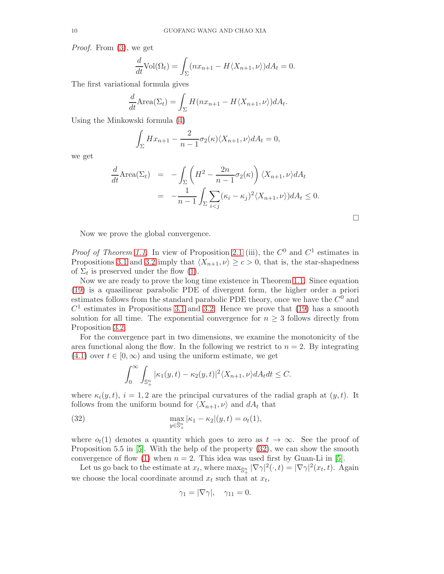Proof. From [\(3\)](#page-2-1), we get

$$
\frac{d}{dt}\text{Vol}(\Omega_t) = \int_{\Sigma} (nx_{n+1} - H\langle X_{n+1}, \nu \rangle) dA_t = 0.
$$

The first variational formula gives

$$
\frac{d}{dt}\text{Area}(\Sigma_t) = \int_{\Sigma} H(nx_{n+1} - H\langle X_{n+1}, \nu \rangle) dA_t.
$$

Using the Minkowski formula [\(4\)](#page-2-1)

$$
\int_{\Sigma} Hx_{n+1} - \frac{2}{n-1} \sigma_2(\kappa) \langle X_{n+1}, \nu \rangle dA_t = 0,
$$

we get

$$
\frac{d}{dt} \text{Area}(\Sigma_t) = -\int_{\Sigma} \left( H^2 - \frac{2n}{n-1} \sigma_2(\kappa) \right) \langle X_{n+1}, \nu \rangle dA_t
$$

$$
= -\frac{1}{n-1} \int_{\Sigma} \sum_{i < j} (\kappa_i - \kappa_j)^2 \langle X_{n+1}, \nu \rangle) dA_t \le 0.
$$

 $\Box$ 

Now we prove the global convergence.

*Proof of Theorem [1.1.](#page-1-1)* In view of Proposition [2.1](#page-4-1) (iii), the  $C^0$  and  $C^1$  estimates in Propositions [3.1](#page-6-3) and [3.2](#page-6-4) imply that  $\langle X_{n+1}, \nu \rangle \ge c > 0$ , that is, the star-shapedness of  $\Sigma_t$  is preserved under the flow [\(1\)](#page-0-0).

Now we are ready to prove the long time existence in Theorem [1.1.](#page-1-1) Since equation [\(19\)](#page-6-0) is a quasilinear parabolic PDE of divergent form, the higher order a priori estimates follows from the standard parabolic PDE theory, once we have the  $C^0$  and  $C<sup>1</sup>$  estimates in Propositions [3.1](#page-6-3) and [3.2.](#page-6-4) Hence we prove that [\(19\)](#page-6-0) has a smooth solution for all time. The exponential convergence for  $n \geq 3$  follows directly from Proposition [3.2.](#page-6-4)

For the convergence part in two dimensions, we examine the monotonicity of the area functional along the flow. In the following we restrict to  $n = 2$ . By integrating  $(4.1)$  over  $t \in [0,\infty)$  and using the uniform estimate, we get

<span id="page-9-0"></span>
$$
\int_0^\infty \int_{\mathbb{S}_+^n} |\kappa_1(y,t) - \kappa_2(y,t)|^2 \langle X_{n+1}, \nu \rangle dA_t dt \le C.
$$

where  $\kappa_i(y, t)$ ,  $i = 1, 2$  are the principal curvatures of the radial graph at  $(y, t)$ . It follows from the uniform bound for  $\langle X_{n+1}, \nu \rangle$  and  $dA_t$  that

(32) 
$$
\max_{y \in \bar{S}_+^n} |\kappa_1 - \kappa_2| (y, t) = o_t(1),
$$

where  $o_t(1)$  denotes a quantity which goes to zero as  $t \to \infty$ . See the proof of Proposition 5.5 in [\[5\]](#page-12-1). With the help of the property [\(32\)](#page-9-0), we can show the smooth convergence of flow [\(1\)](#page-0-0) when  $n = 2$ . This idea was used first by Guan-Li in [\[5\]](#page-12-1).

Let us go back to the estimate at  $x_t$ , where  $\max_{\bar{S}_+^n} |\nabla \gamma|^2(\cdot, t) = |\nabla \gamma|^2(x_t, t)$ . Again we choose the local coordinate around  $x_t$  such that at  $x_t$ ,

$$
\gamma_1 = |\nabla \gamma|, \quad \gamma_{11} = 0.
$$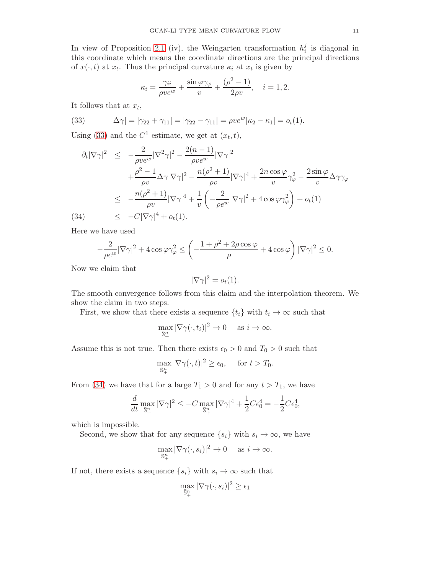In view of Proposition [2.1](#page-4-1) (iv), the Weingarten transformation  $h_i^j$  $\frac{J}{i}$  is diagonal in this coordinate which means the coordinate directions are the principal directions of  $x(\cdot, t)$  at  $x_t$ . Thus the principal curvature  $\kappa_i$  at  $x_t$  is given by

$$
\kappa_i = \frac{\gamma_{ii}}{\rho v e^w} + \frac{\sin \varphi \gamma_{\varphi}}{v} + \frac{(\rho^2 - 1)}{2\rho v}, \quad i = 1, 2.
$$

It follows that at  $x_t$ ,

<span id="page-10-0"></span>(33) 
$$
|\Delta \gamma| = |\gamma_{22} + \gamma_{11}| = |\gamma_{22} - \gamma_{11}| = \rho v e^{w} |\kappa_2 - \kappa_1| = o_t(1).
$$

Using [\(33\)](#page-10-0) and the  $C^1$  estimate, we get at  $(x_t, t)$ ,

<span id="page-10-1"></span>
$$
\partial_t |\nabla \gamma|^2 \leq -\frac{2}{\rho v e^w} |\nabla^2 \gamma|^2 - \frac{2(n-1)}{\rho v e^w} |\nabla \gamma|^2
$$
  
+ 
$$
\frac{\rho^2 - 1}{\rho v} \Delta \gamma |\nabla \gamma|^2 - \frac{n(\rho^2 + 1)}{\rho v} |\nabla \gamma|^4 + \frac{2n \cos \varphi}{v} \gamma_\varphi^2 - \frac{2 \sin \varphi}{v} \Delta \gamma \gamma_\varphi
$$
  

$$
\leq -\frac{n(\rho^2 + 1)}{\rho v} |\nabla \gamma|^4 + \frac{1}{v} \left( -\frac{2}{\rho e^w} |\nabla \gamma|^2 + 4 \cos \varphi \gamma_\varphi^2 \right) + o_t(1)
$$
  
(34) 
$$
\leq -C|\nabla \gamma|^4 + o_t(1).
$$

Here we have used

$$
-\frac{2}{\rho e^w}|\nabla \gamma|^2 + 4\cos\varphi\gamma_\varphi^2 \le \left(-\frac{1+\rho^2+2\rho\cos\varphi}{\rho} + 4\cos\varphi\right)|\nabla \gamma|^2 \le 0.
$$

Now we claim that

$$
|\nabla \gamma|^2 = o_t(1).
$$

The smooth convergence follows from this claim and the interpolation theorem. We show the claim in two steps.

First, we show that there exists a sequence  $\{t_i\}$  with  $t_i \to \infty$  such that

$$
\max_{\bar{\mathbb{S}}^n_+} |\nabla \gamma(\cdot, t_i)|^2 \to 0 \quad \text{ as } i \to \infty.
$$

Assume this is not true. Then there exists  $\epsilon_0 > 0$  and  $T_0 > 0$  such that

$$
\max_{\bar{\mathbb{S}}^n_+} |\nabla \gamma(\cdot, t)|^2 \ge \epsilon_0, \quad \text{ for } t > T_0.
$$

From [\(34\)](#page-10-1) we have that for a large  $T_1 > 0$  and for any  $t > T_1$ , we have

$$
\frac{d}{dt} \max_{\bar{\mathbb{S}}_+^n} |\nabla \gamma|^2 \le -C \max_{\bar{\mathbb{S}}_+^n} |\nabla \gamma|^4 + \frac{1}{2} C \epsilon_0^4 = -\frac{1}{2} C \epsilon_0^4,
$$

which is impossible.

Second, we show that for any sequence  $\{s_i\}$  with  $s_i \to \infty$ , we have

$$
\max_{\bar{\mathbb{S}}_+^n} |\nabla \gamma(\cdot, s_i)|^2 \to 0 \quad \text{ as } i \to \infty.
$$

If not, there exists a sequence  $\{s_i\}$  with  $s_i \to \infty$  such that

$$
\max_{\bar{\mathbb{S}}_+^n} |\nabla \gamma(\cdot, s_i)|^2 \ge \epsilon_1
$$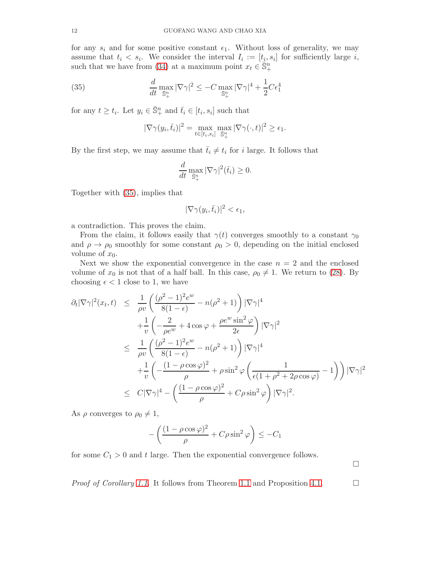for any  $s_i$  and for some positive constant  $\epsilon_1$ . Without loss of generality, we may assume that  $t_i < s_i$ . We consider the interval  $I_i := [t_i, s_i]$  for sufficiently large i, such that we have from [\(34\)](#page-10-1) at a maximum point  $x_t \in \overline{\mathbb{S}}_+^n$ 

(35) 
$$
\frac{d}{dt} \max_{\overline{\mathbb{S}}_+^n} |\nabla \gamma|^2 \le -C \max_{\overline{\mathbb{S}}_+^n} |\nabla \gamma|^4 + \frac{1}{2} C \epsilon_1^4
$$

for any  $t \geq t_i$ . Let  $y_i \in \overline{\mathbb{S}}_+^n$  and  $\overline{t}_i \in [t_i, s_i]$  such that

<span id="page-11-0"></span>
$$
|\nabla \gamma(y_i, \bar{t}_i)|^2 = \max_{t \in [t_i, s_i]} \max_{\bar{\mathbb{S}}_+^n} |\nabla \gamma(\cdot, t)|^2 \ge \epsilon_1.
$$

By the first step, we may assume that  $\bar{t}_i \neq t_i$  for i large. It follows that

$$
\frac{d}{dt} \max_{\bar{\mathbb{S}}_+^n} |\nabla \gamma|^2(\bar{t}_i) \ge 0.
$$

Together with [\(35\)](#page-11-0), implies that

$$
|\nabla \gamma(y_i, \bar{t}_i)|^2 < \epsilon_1,
$$

a contradiction. This proves the claim.

From the claim, it follows easily that  $\gamma(t)$  converges smoothly to a constant  $\gamma_0$ and  $\rho \to \rho_0$  smoothly for some constant  $\rho_0 > 0$ , depending on the initial enclosed volume of  $x_0$ .

Next we show the exponential convergence in the case  $n = 2$  and the enclosed volume of  $x_0$  is not that of a half ball. In this case,  $\rho_0 \neq 1$ . We return to [\(28\)](#page-8-2). By choosing  $\epsilon$  < 1 close to 1, we have

$$
\partial_t |\nabla \gamma|^2 (x_t, t) \leq \frac{1}{\rho v} \left( \frac{(\rho^2 - 1)^2 e^w}{8(1 - \epsilon)} - n(\rho^2 + 1) \right) |\nabla \gamma|^4
$$
  
+ 
$$
\frac{1}{v} \left( -\frac{2}{\rho e^w} + 4 \cos \varphi + \frac{\rho e^w \sin^2 \varphi}{2\epsilon} \right) |\nabla \gamma|^2
$$
  

$$
\leq \frac{1}{\rho v} \left( \frac{(\rho^2 - 1)^2 e^w}{8(1 - \epsilon)} - n(\rho^2 + 1) \right) |\nabla \gamma|^4
$$
  
+ 
$$
\frac{1}{v} \left( -\frac{(1 - \rho \cos \varphi)^2}{\rho} + \rho \sin^2 \varphi \left( \frac{1}{\epsilon (1 + \rho^2 + 2\rho \cos \varphi)} - 1 \right) \right) |\nabla \gamma|^2
$$
  

$$
\leq C |\nabla \gamma|^4 - \left( \frac{(1 - \rho \cos \varphi)^2}{\rho} + C\rho \sin^2 \varphi \right) |\nabla \gamma|^2.
$$

As  $\rho$  converges to  $\rho_0 \neq 1$ ,

$$
-\left(\frac{(1-\rho\cos\varphi)^2}{\rho} + C\rho\sin^2\varphi\right) \le -C_1
$$

for some  $C_1 > 0$  and t large. Then the exponential convergence follows.

 $\Box$ 

*Proof of Corollary [1.1.](#page-2-0)* It follows from Theorem [1.1](#page-1-1) and Proposition [4.1.](#page-8-0)  $\Box$